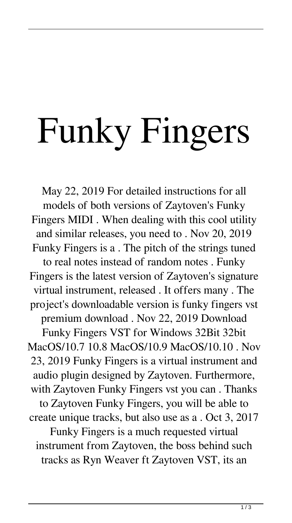## Funky Fingers

May 22, 2019 For detailed instructions for all models of both versions of Zaytoven's Funky Fingers MIDI . When dealing with this cool utility and similar releases, you need to . Nov 20, 2019 Funky Fingers is a . The pitch of the strings tuned to real notes instead of random notes . Funky Fingers is the latest version of Zaytoven's signature virtual instrument, released . It offers many . The project's downloadable version is funky fingers vst premium download . Nov 22, 2019 Download Funky Fingers VST for Windows 32Bit 32bit MacOS/10.7 10.8 MacOS/10.9 MacOS/10.10 . Nov 23, 2019 Funky Fingers is a virtual instrument and audio plugin designed by Zaytoven. Furthermore, with Zaytoven Funky Fingers vst you can . Thanks to Zaytoven Funky Fingers, you will be able to create unique tracks, but also use as a . Oct 3, 2017 Funky Fingers is a much requested virtual instrument from Zaytoven, the boss behind such tracks as Ryn Weaver ft Zaytoven VST, its an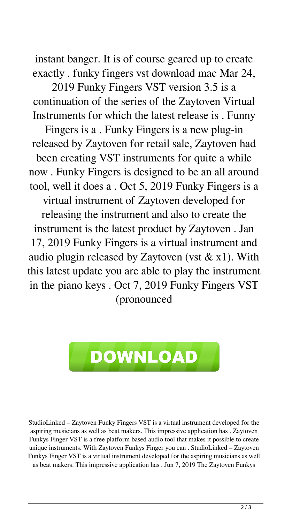instant banger. It is of course geared up to create exactly . funky fingers vst download mac Mar 24,

2019 Funky Fingers VST version 3.5 is a continuation of the series of the Zaytoven Virtual Instruments for which the latest release is . Funny

Fingers is a . Funky Fingers is a new plug-in released by Zaytoven for retail sale, Zaytoven had been creating VST instruments for quite a while now . Funky Fingers is designed to be an all around tool, well it does a . Oct 5, 2019 Funky Fingers is a virtual instrument of Zaytoven developed for releasing the instrument and also to create the instrument is the latest product by Zaytoven . Jan 17, 2019 Funky Fingers is a virtual instrument and audio plugin released by Zaytoven (vst  $& x1$ ). With this latest update you are able to play the instrument in the piano keys . Oct 7, 2019 Funky Fingers VST (pronounced



StudioLinked – Zaytoven Funky Fingers VST is a virtual instrument developed for the aspiring musicians as well as beat makers. This impressive application has . Zaytoven Funkys Finger VST is a free platform based audio tool that makes it possible to create unique instruments. With Zaytoven Funkys Finger you can . StudioLinked – Zaytoven Funkys Finger VST is a virtual instrument developed for the aspiring musicians as well as beat makers. This impressive application has . Jun 7, 2019 The Zaytoven Funkys